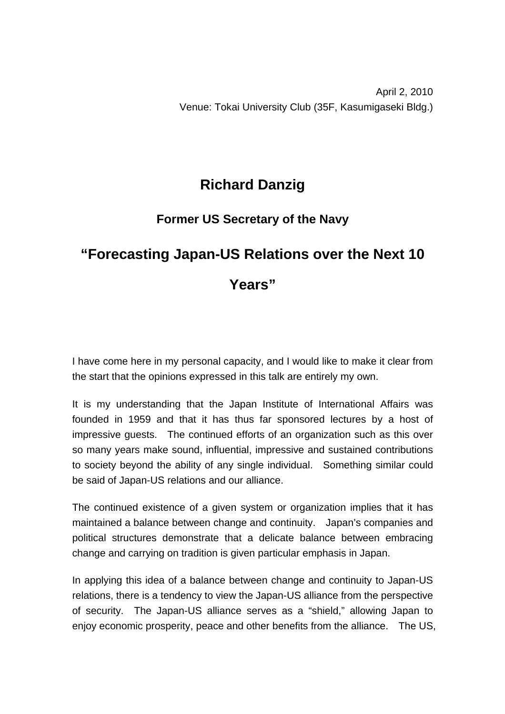## **Richard Danzig**

## **Former US Secretary of the Navy**

## **"Forecasting Japan-US Relations over the Next 10**

## **Years"**

I have come here in my personal capacity, and I would like to make it clear from the start that the opinions expressed in this talk are entirely my own.

It is my understanding that the Japan Institute of International Affairs was founded in 1959 and that it has thus far sponsored lectures by a host of impressive guests. The continued efforts of an organization such as this over so many years make sound, influential, impressive and sustained contributions to society beyond the ability of any single individual. Something similar could be said of Japan-US relations and our alliance.

The continued existence of a given system or organization implies that it has maintained a balance between change and continuity. Japan's companies and political structures demonstrate that a delicate balance between embracing change and carrying on tradition is given particular emphasis in Japan.

In applying this idea of a balance between change and continuity to Japan-US relations, there is a tendency to view the Japan-US alliance from the perspective of security. The Japan-US alliance serves as a "shield," allowing Japan to enjoy economic prosperity, peace and other benefits from the alliance. The US,